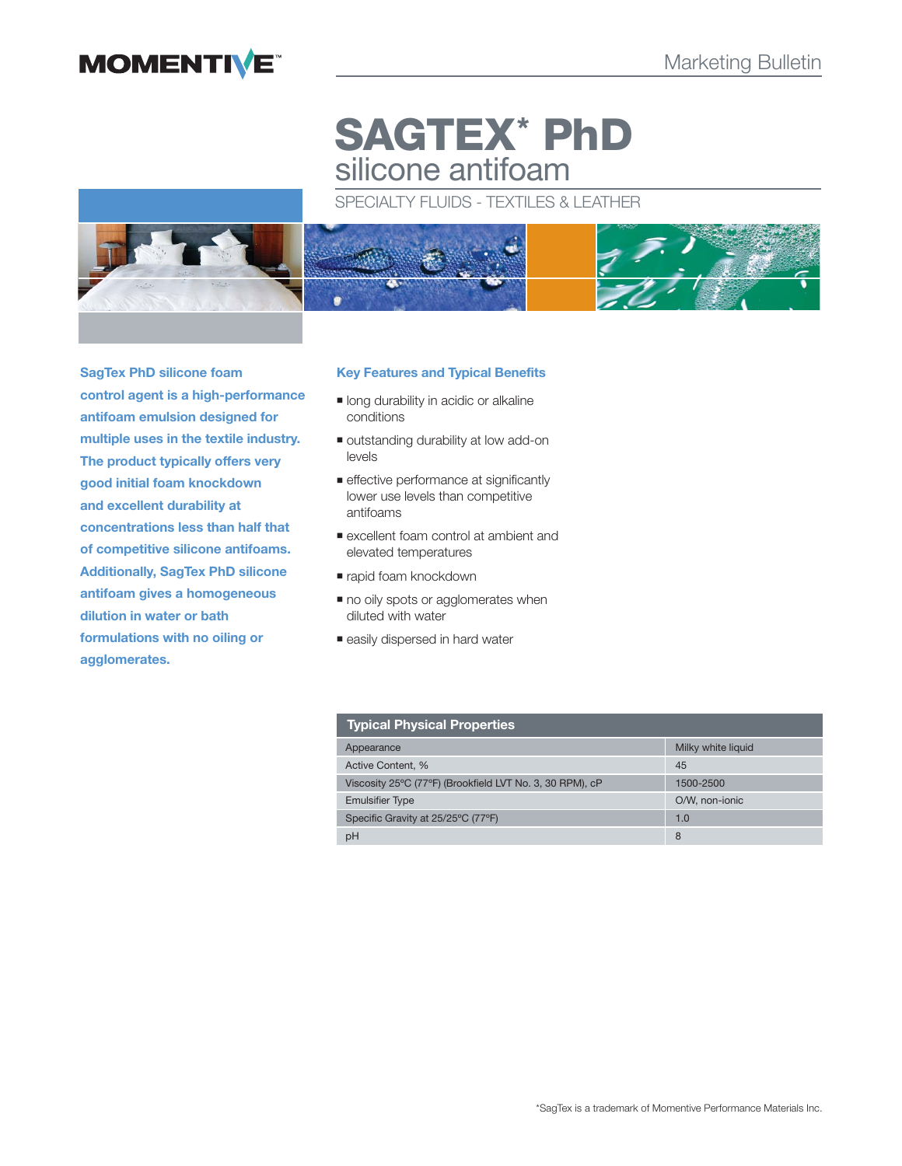# **MOMENTIVE**

# **SAGTEX\* PhD** silicone antifoam

# SPECIALTY FLUIDS - TEXTILES & LEATHER



**SagTex PhD silicone foam control agent is a high-performance antifoam emulsion designed for multiple uses in the textile industry. The product typically offers very good initial foam knockdown and excellent durability at concentrations less than half that of competitive silicone antifoams. Additionally, SagTex PhD silicone antifoam gives a homogeneous dilution in water or bath formulations with no oiling or agglomerates.**

# **Key Features and Typical Benefits**

- **In long durability in acidic or alkaline** conditions
- outstanding durability at low add-on levels
- **effective performance at significantly** lower use levels than competitive antifoams
- excellent foam control at ambient and elevated temperatures
- rapid foam knockdown
- $\blacksquare$  no oily spots or agglomerates when diluted with water
- **easily dispersed in hard water**

| <b>Typical Physical Properties</b>                       |                    |
|----------------------------------------------------------|--------------------|
| Appearance                                               | Milky white liquid |
| Active Content. %                                        | 45                 |
| Viscosity 25°C (77°F) (Brookfield LVT No. 3, 30 RPM), cP | 1500-2500          |
| <b>Emulsifier Type</b>                                   | O/W, non-ionic     |
| Specific Gravity at 25/25°C (77°F)                       | 1.0                |
| рH                                                       | 8                  |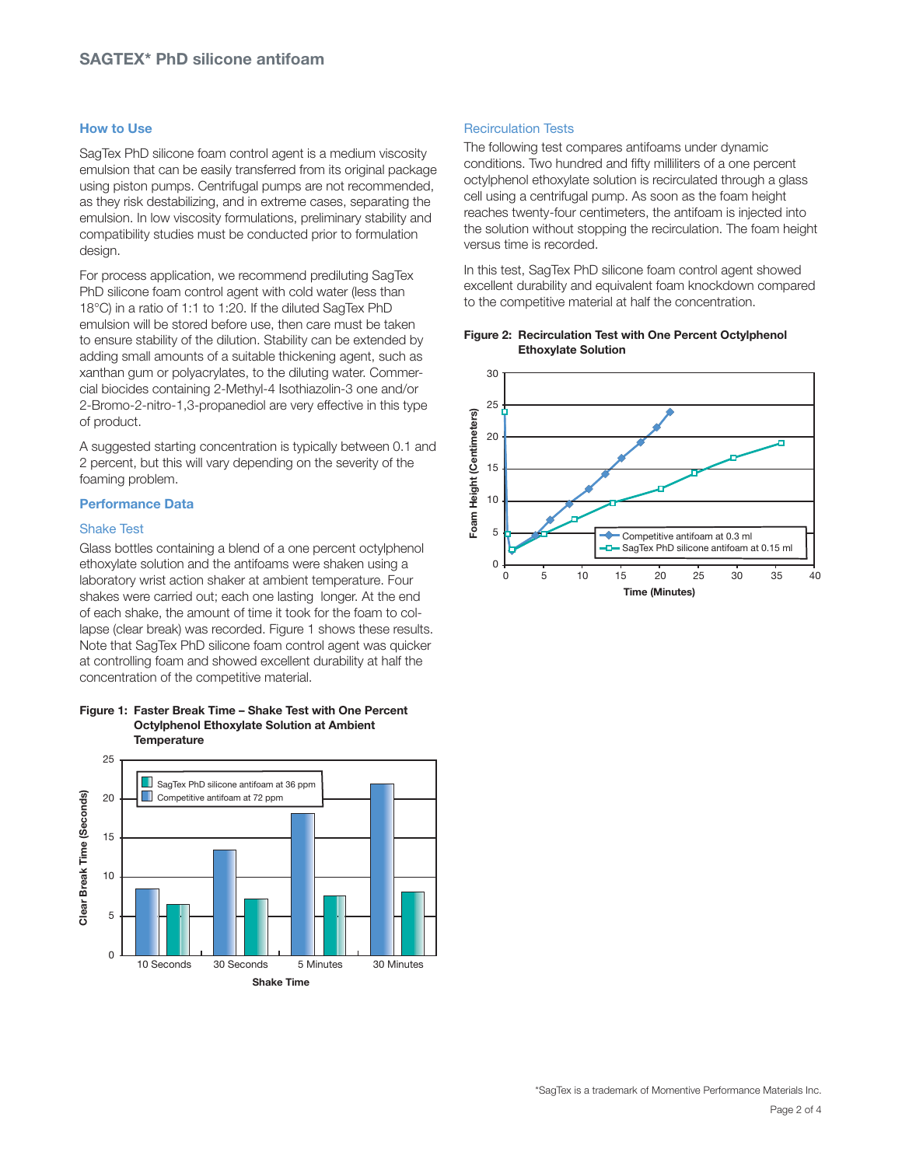# **How to Use**

SagTex PhD silicone foam control agent is a medium viscosity emulsion that can be easily transferred from its original package using piston pumps. Centrifugal pumps are not recommended, as they risk destabilizing, and in extreme cases, separating the emulsion. In low viscosity formulations, preliminary stability and compatibility studies must be conducted prior to formulation design.

For process application, we recommend prediluting SagTex PhD silicone foam control agent with cold water (less than 18°C) in a ratio of 1:1 to 1:20. If the diluted SagTex PhD emulsion will be stored before use, then care must be taken to ensure stability of the dilution. Stability can be extended by adding small amounts of a suitable thickening agent, such as xanthan gum or polyacrylates, to the diluting water. Commercial biocides containing 2-Methyl-4 Isothiazolin-3 one and/or 2-Bromo-2-nitro-1,3-propanediol are very effective in this type of product.

A suggested starting concentration is typically between 0.1 and 2 percent, but this will vary depending on the severity of the foaming problem.

### **Performance Data**

## Shake Test

Glass bottles containing a blend of a one percent octylphenol ethoxylate solution and the antifoams were shaken using a laboratory wrist action shaker at ambient temperature. Four shakes were carried out; each one lasting longer. At the end of each shake, the amount of time it took for the foam to collapse (clear break) was recorded. Figure 1 shows these results. Note that SagTex PhD silicone foam control agent was quicker at controlling foam and showed excellent durability at half the concentration of the competitive material.

## **Figure 1: Faster Break Time – Shake Test with One Percent Octylphenol Ethoxylate Solution at Ambient Temperature**



# Recirculation Tests

The following test compares antifoams under dynamic conditions. Two hundred and fifty milliliters of a one percent octylphenol ethoxylate solution is recirculated through a glass cell using a centrifugal pump. As soon as the foam height reaches twenty-four centimeters, the antifoam is injected into the solution without stopping the recirculation. The foam height versus time is recorded.

In this test, SagTex PhD silicone foam control agent showed excellent durability and equivalent foam knockdown compared to the competitive material at half the concentration.



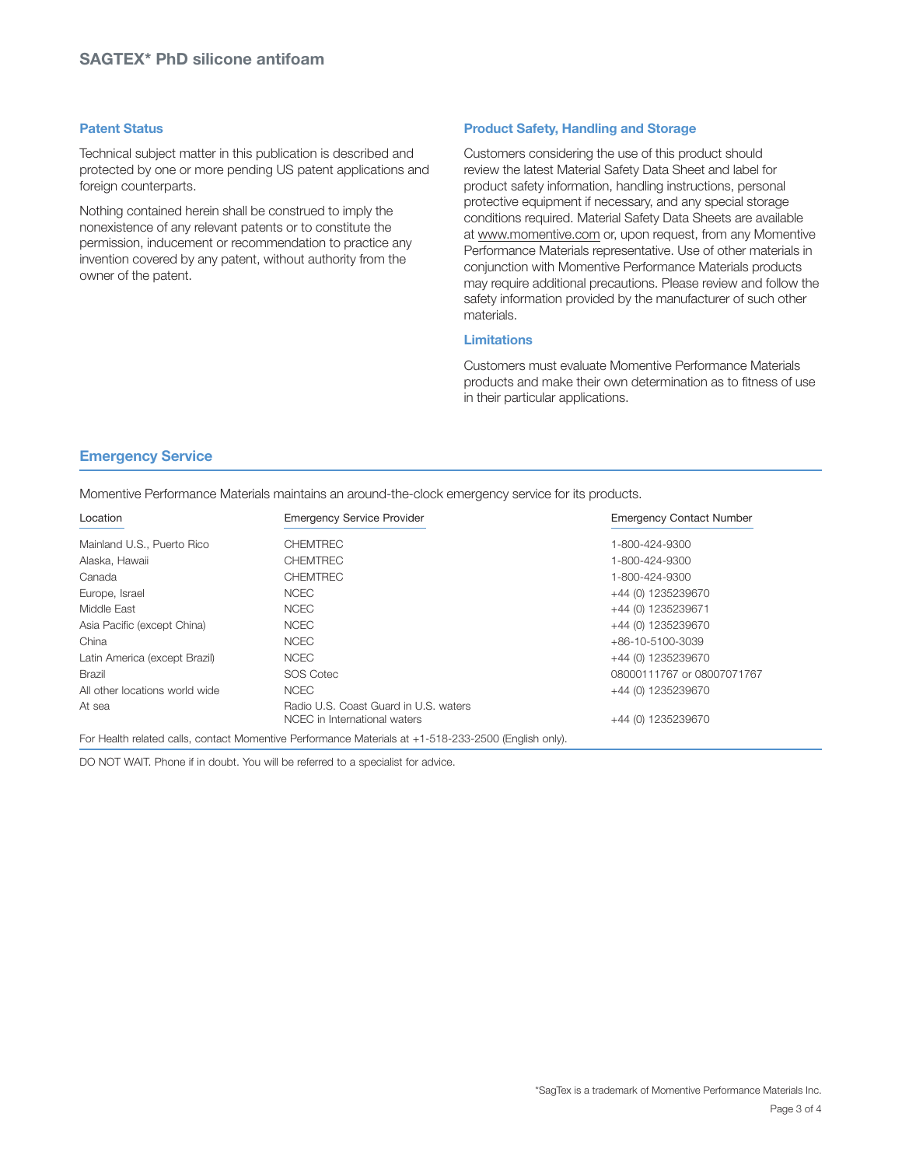# **Patent Status**

Technical subject matter in this publication is described and protected by one or more pending US patent applications and foreign counterparts.

Nothing contained herein shall be construed to imply the nonexistence of any relevant patents or to constitute the permission, inducement or recommendation to practice any invention covered by any patent, without authority from the owner of the patent.

# **Product Safety, Handling and Storage**

Customers considering the use of this product should review the latest Material Safety Data Sheet and label for product safety information, handling instructions, personal protective equipment if necessary, and any special storage conditions required. Material Safety Data Sheets are available at www.momentive.com or, upon request, from any Momentive Performance Materials representative. Use of other materials in conjunction with Momentive Performance Materials products may require additional precautions. Please review and follow the safety information provided by the manufacturer of such other materials.

# **Limitations**

Customers must evaluate Momentive Performance Materials products and make their own determination as to fitness of use in their particular applications.

# **Emergency Service**

Momentive Performance Materials maintains an around-the-clock emergency service for its products.

| Location                       | <b>Emergency Service Provider</b>                                                                    | <b>Emergency Contact Number</b> |
|--------------------------------|------------------------------------------------------------------------------------------------------|---------------------------------|
| Mainland U.S., Puerto Rico     | <b>CHEMTREC</b>                                                                                      | 1-800-424-9300                  |
| Alaska, Hawaii                 | <b>CHEMTREC</b>                                                                                      | 1-800-424-9300                  |
| Canada                         | <b>CHEMTREC</b>                                                                                      | 1-800-424-9300                  |
| Europe, Israel                 | <b>NCEC</b>                                                                                          | +44 (0) 1235239670              |
| Middle East                    | <b>NCEC</b>                                                                                          | +44 (0) 1235239671              |
| Asia Pacific (except China)    | <b>NCEC</b>                                                                                          | +44 (0) 1235239670              |
| China                          | <b>NCEC</b>                                                                                          | +86-10-5100-3039                |
| Latin America (except Brazil)  | <b>NCEC</b>                                                                                          | +44 (0) 1235239670              |
| <b>Brazil</b>                  | SOS Cotec                                                                                            | 08000111767 or 08007071767      |
| All other locations world wide | <b>NCEC</b>                                                                                          | +44 (0) 1235239670              |
| At sea                         | Radio U.S. Coast Guard in U.S. waters<br>NCEC in International waters                                | +44 (0) 1235239670              |
|                                | For Health related calls, contact Momentive Performance Materials at +1-518-233-2500 (English only). |                                 |

DO NOT WAIT. Phone if in doubt. You will be referred to a specialist for advice.